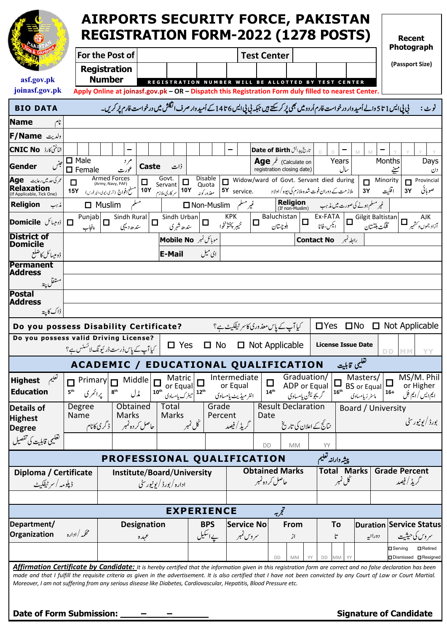|                                                                                                                                                                                                                                                                                                | <b>AIRPORTS SECURITY FORCE, PAKISTAN</b><br><b>REGISTRATION FORM-2022 (1278 POSTS)</b> |                                                                                                                                                   |                                                         |                                        |                                 |                                                                  |                            |                                                      |                  |                                                                  | <b>Recent</b><br>Photograph |                                                  |                      |                                                 |
|------------------------------------------------------------------------------------------------------------------------------------------------------------------------------------------------------------------------------------------------------------------------------------------------|----------------------------------------------------------------------------------------|---------------------------------------------------------------------------------------------------------------------------------------------------|---------------------------------------------------------|----------------------------------------|---------------------------------|------------------------------------------------------------------|----------------------------|------------------------------------------------------|------------------|------------------------------------------------------------------|-----------------------------|--------------------------------------------------|----------------------|-------------------------------------------------|
|                                                                                                                                                                                                                                                                                                |                                                                                        | For the Post of<br><b>Registration</b>                                                                                                            |                                                         |                                        |                                 |                                                                  | <b>Test Center</b>         |                                                      |                  |                                                                  |                             |                                                  |                      | (Passport Size)                                 |
| asf.gov.pk<br>joinasf.gov.pk                                                                                                                                                                                                                                                                   |                                                                                        | <b>Number</b><br>Apply Online at joinasf.gov.pk - OR - Dispatch this Registration Form duly filled to nearest Center.                             |                                                         |                                        |                                 | <b>REGISTRATION NUMBER WILL BE ALLOTTED BY TEST CENTER</b>       |                            |                                                      |                  |                                                                  |                             |                                                  |                      |                                                 |
| <b>BIO DATA</b>                                                                                                                                                                                                                                                                                |                                                                                        | ني پي ايس 1 تا 5 والے اُميد وار درخواست فارم اُر دوميں بھی پُر کرسکتے ہيں جبکہ پي پي ايس 6 تا 4 کے اُميد وار صرف انگشش ميں درخواست فارم پُر کریں۔ |                                                         |                                        |                                 |                                                                  |                            |                                                      |                  |                                                                  |                             |                                                  |                      | نوٹ :                                           |
| <b>Name</b>                                                                                                                                                                                                                                                                                    |                                                                                        |                                                                                                                                                   |                                                         |                                        |                                 |                                                                  |                            |                                                      |                  |                                                                  |                             |                                                  |                      |                                                 |
| ولديت F/Name                                                                                                                                                                                                                                                                                   |                                                                                        |                                                                                                                                                   |                                                         |                                        |                                 |                                                                  |                            |                                                      |                  |                                                                  |                             |                                                  |                      |                                                 |
| شَاخْتِی کارڈ <b>CNIC No</b>                                                                                                                                                                                                                                                                   |                                                                                        |                                                                                                                                                   |                                                         |                                        |                                 |                                                                  |                            | تاريخ پيدائش Date of Birth                           |                  |                                                                  |                             | M                                                |                      |                                                 |
| حبنس<br>Gender                                                                                                                                                                                                                                                                                 | $\Box$ Male<br>$\Box$ Female                                                           | م د                                                                                                                                               | Caste                                                   | ذات                                    |                                 |                                                                  |                            | Calculate on<br>registration closing date)           |                  | Years                                                            | سال                         |                                                  | Months<br>مہینے      | Days<br>دن                                      |
| عمر کی حد میں رعایت <b>Age</b><br><b>Relaxation</b><br>If Applicable, Tick One)                                                                                                                                                                                                                | $\Box$<br><b>15Y</b>                                                                   | Armed Forces<br>(Army, Navy, PAF)<br>۔<br>سلح <b>افواج</b> (آرمی،نیوی،ائیر فورس)                                                                  | Govt.<br>□<br>Servant<br><b>10Y</b><br>سر کاری ملازم    | □<br><b>10Y</b>                        | Disable<br>Quota<br>معذور کوپیر | Widow/ward of Govt. Servant died during<br>$\Box$<br>5Y service. |                            | ملاز مت کے دوران فوت شدہ ملازم کی بیوہ / اولا د      |                  |                                                                  |                             | Minority<br>$\Box$<br>3Y                         | п<br>اقليت<br>3Y     | Provincial<br>صوبائي                            |
| <b>Religion</b><br>مذہب                                                                                                                                                                                                                                                                        | $\Box$ Muslim                                                                          |                                                                                                                                                   |                                                         |                                        | □ Non-Muslim                    | غيرمسل                                                           |                            | <b>Religion</b><br>(If non-Muslim)                   |                  | غیر مسلم ہونے کی صورت میں مذہب                                   |                             |                                                  |                      |                                                 |
| ڈومیٹائل <b>Domicile</b>                                                                                                                                                                                                                                                                       | $\Box$<br>پنجاب                                                                        | $\boxed{\frac{Punjab}{\Box}}$ Sindh Rural $\boxed{\Box}$<br>سند ھ ديہي                                                                            |                                                         | Sindh Urban<br>ىندھ شہر ك              | $\Box$                          | <b>KPK</b><br>IП<br>خيبر پختۇنخوا                                |                            | Baluchistan<br>بكوچيتان                              | $\Box$           | $Ex-FATA$<br>ایکس-فاٹا                                           |                             | $\boxed{\Box}$ Gilgit Baltistan<br>گلگت بلتستان  |                      | AJK<br>آزاد جموں د <sup>س</sup> شیر <b>II</b> – |
| <b>District of</b>                                                                                                                                                                                                                                                                             |                                                                                        |                                                                                                                                                   |                                                         | موبائل نمبر Mobile No                  |                                 |                                                                  |                            |                                                      |                  | رابط نمبر Contact No                                             |                             |                                                  |                      |                                                 |
| <b>Domicile</b><br>ڈومییائل کاضلع                                                                                                                                                                                                                                                              |                                                                                        |                                                                                                                                                   |                                                         | <b>E-Mail</b>                          | ای میل                          |                                                                  |                            |                                                      |                  |                                                                  |                             |                                                  |                      |                                                 |
| <b>Permanent</b><br><b>Address</b>                                                                                                                                                                                                                                                             |                                                                                        |                                                                                                                                                   |                                                         |                                        |                                 |                                                                  |                            |                                                      |                  |                                                                  |                             |                                                  |                      |                                                 |
| متقل پة                                                                                                                                                                                                                                                                                        |                                                                                        |                                                                                                                                                   |                                                         |                                        |                                 |                                                                  |                            |                                                      |                  |                                                                  |                             |                                                  |                      |                                                 |
| <b>Postal</b><br><b>Address</b>                                                                                                                                                                                                                                                                |                                                                                        |                                                                                                                                                   |                                                         |                                        |                                 |                                                                  |                            |                                                      |                  |                                                                  |                             |                                                  |                      |                                                 |
| ڈاک کا پتہ                                                                                                                                                                                                                                                                                     |                                                                                        |                                                                                                                                                   |                                                         |                                        |                                 |                                                                  |                            |                                                      |                  |                                                                  |                             |                                                  |                      |                                                 |
| Do you possess Disability Certificate?                                                                                                                                                                                                                                                         |                                                                                        |                                                                                                                                                   |                                                         |                                        |                                 | کیا آپ کے پاس معذوری کاسر ٹیفکیٹ ہے؟                             |                            |                                                      |                  | $\Box$ Yes $\Box$ No                                             |                             |                                                  |                      | $\Box$ Not Applicable                           |
| Do you possess valid Driving License?                                                                                                                                                                                                                                                          | کیا آپ کے پاس دُرست ڈر ئیونگ لائسنس ہے؟                                                |                                                                                                                                                   |                                                         | $\Box$ Yes                             | □ No                            |                                                                  |                            | $\Box$ Not Applicable                                |                  | <b>License Issue Date</b>                                        |                             |                                                  | DD.<br><b>MM</b>     | YΥ                                              |
|                                                                                                                                                                                                                                                                                                | ACADEMIC / EDUCATIONAL QUALIFICATION                                                   |                                                                                                                                                   |                                                         |                                        |                                 |                                                                  |                            |                                                      |                  |                                                                  | تغليمى قابليت               |                                                  |                      |                                                 |
| تعليم<br><b>Highest</b><br><b>Education</b>                                                                                                                                                                                                                                                    | Primary<br>$\Box$<br>يرائمري<br>$\mathbf{5}^\text{th}$                                 | Middle<br>$\mathbf{8}^\text{th}$<br>مڈل                                                                                                           | $10^{\text{th}}$                                        | Matric<br>or Equal ہے<br>الیٹرک یاسادی |                                 | Intermediate<br>or Equal<br>انٹر میڈیٹ یامساوی                   | $\Box$<br>14 <sup>th</sup> | Graduation/<br>ADP or Equal                          | گريجويشن يامسادي | $\begin{array}{c} \boxed{\square} \\ 16^{\text{th}} \end{array}$ |                             | Masters/<br><b>BS</b> or Equal<br>ماسٹر زیامساوی | $\Box$<br>$16 +$     | MS/M. Phil<br>or Higher<br>ایم ایس / ایم فِل    |
| <b>Details of</b><br><b>Highest</b>                                                                                                                                                                                                                                                            | Degree<br>Name                                                                         | Obtained<br>Marks<br>حاصل کردہ نمبر گے گری کانام                                                                                                  |                                                         | Total<br>Marks<br>ڭل نمبر              | Grade<br>Percent                | گریڈ / فیصد                                                      | Date                       | <b>Result Declaration</b><br>نتائج کے اعلان کی تاریخ |                  |                                                                  |                             | Board / University                               |                      | بورڈ / يونيور سٹی                               |
| <b>Degree</b><br>تغليمي قابليت كي تفصيل                                                                                                                                                                                                                                                        |                                                                                        |                                                                                                                                                   |                                                         |                                        |                                 |                                                                  |                            |                                                      |                  |                                                                  |                             |                                                  |                      |                                                 |
|                                                                                                                                                                                                                                                                                                |                                                                                        |                                                                                                                                                   |                                                         |                                        |                                 |                                                                  | DD                         | <b>MM</b>                                            |                  | YY                                                               |                             |                                                  |                      |                                                 |
|                                                                                                                                                                                                                                                                                                |                                                                                        | PROFESSIONAL QUALIFICATION                                                                                                                        |                                                         |                                        |                                 |                                                                  |                            |                                                      |                  | پيشه وارانه تعليم                                                |                             |                                                  | <b>Grade Percent</b> |                                                 |
| Diploma / Certificate<br>ڈیلومہ / سر ٹیفکیٹ                                                                                                                                                                                                                                                    |                                                                                        |                                                                                                                                                   | Institute/Board/University<br>اداره / بورڈ / یونیور سٹی |                                        |                                 |                                                                  | حاصل کر دہ نمبر            | <b>Obtained Marks</b>                                |                  | <b>Total Marks</b><br>گل نمبر                                    |                             |                                                  | گریڈ / فیصد          |                                                 |
|                                                                                                                                                                                                                                                                                                |                                                                                        |                                                                                                                                                   |                                                         |                                        |                                 |                                                                  |                            |                                                      |                  |                                                                  |                             |                                                  |                      |                                                 |
|                                                                                                                                                                                                                                                                                                |                                                                                        |                                                                                                                                                   |                                                         | <b>EXPERIENCE</b>                      |                                 | <b>Service No</b>                                                |                            | تجربه<br>From                                        |                  |                                                                  |                             |                                                  |                      |                                                 |
| Department/<br>Organization                                                                                                                                                                                                                                                                    | محكمه /اداره                                                                           |                                                                                                                                                   | <b>Designation</b><br>عہدہ                              |                                        | <b>BPS</b><br>یے اسکیل          | سروس نمبر                                                        |                            | از                                                   |                  | To<br>ŀ                                                          |                             | دورانيه                                          |                      | <b>Duration Service Status</b><br>سروس کی حیثیت |
|                                                                                                                                                                                                                                                                                                |                                                                                        |                                                                                                                                                   |                                                         |                                        |                                 |                                                                  |                            |                                                      |                  |                                                                  |                             |                                                  | <b>D</b> Serving     | <b>O</b> Retired                                |
| Affirmation Certificate by Candidate: It is hereby certified that the information given in this registration form are correct and no false declaration has been                                                                                                                                |                                                                                        |                                                                                                                                                   |                                                         |                                        |                                 |                                                                  |                            | DD<br>MM                                             | YY               | DD<br><b>MM</b>                                                  |                             |                                                  |                      | □ Dismissed □ Resigned                          |
| made and that I fulfill the requisite criteria as given in the advertisement. It is also certified that I have not been convicted by any Court of Law or Court Martial.<br>Moreover, I am not suffering from any serious disease like Diabetes, Cardiovascular, Hepatitis, Blood Pressure etc. |                                                                                        |                                                                                                                                                   |                                                         |                                        |                                 |                                                                  |                            |                                                      |                  |                                                                  |                             |                                                  |                      |                                                 |

|  |  | Date of Form Submission: |  |
|--|--|--------------------------|--|
|--|--|--------------------------|--|